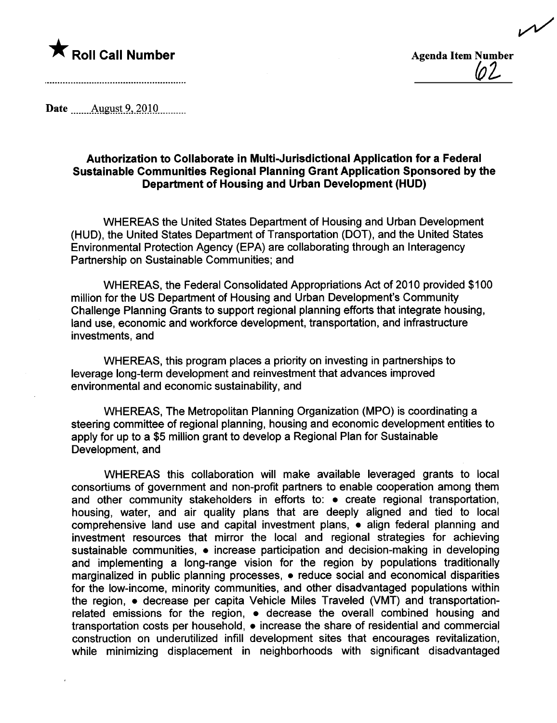

\* Roll Call Number Agenda Item Number Agenda Item Number Agenda Item Number  $\cancel{02}$ 

~

Date \_\_\_\_\_\_\_\_Allgyi;t-9.,.~Q1Qm.\_\_\_\_\_

## Authorization to Collaborate in Multi-Jurisdictional Application for a Federal Sustainable Communities Regional Planning Grant Application Sponsored by the Department of Housing and Urban Development (HUD)

WHEREAS the United States Department of Housing and Urban Development (HUD), the United States Department of Transportation (DOT), and the United States Environmental Protection Agency (EPA) are collaborating through an Interagency Partnership on Sustainable Communities; and

WHEREAS, the Federal Consolidated Appropriations Act of 2010 provided \$100 million for the US Department of Housing and Urban Development's Community Challenge Planning Grants to support regional planning efforts that integrate housing, land use, economic and workforce development, transportation, and infrastructure investments, and

WHEREAS, this program places a priority on investing in partnerships to leverage long-term development and reinvestment that advances improved environmental and economic sustainability, and

WHEREAS, The Metropolitan Planning Organization (MPO) is coordinating a steering committee of regional planning, housing and economic development entities to apply for up to a \$5 milion grant to develop a Regional Plan for Sustainable Development, and

WHEREAS this collaboration will make available leveraged grants to local consortiums of government and non-profit partners to enable cooperation among them and other community stakeholders in efforts to:  $\bullet$  create regional transportation, housing, water, and air quality plans that are deeply aligned and tied to local comprehensive land use and capital investment plans,  $\bullet$  align federal planning and investment resources that mirror the local and regional strategies for achieving sustainable communities,  $\bullet$  increase participation and decision-making in developing and implementing a long-range vision for the region by populations traditionally marginalized in public planning processes,  $\bullet$  reduce social and economical disparities for the low-income, minority communities, and other disadvantaged populations within the region,  $\bullet$  decrease per capita Vehicle Miles Traveled (VMT) and transportationrelated emissions for the region,  $\bullet$  decrease the overall combined housing and transportation costs per household,  $\bullet$  increase the share of residential and commercial construction on underutilized infill development sites that encourages revitalization, while minimizing displacement in neighborhoods with significant disadvantaged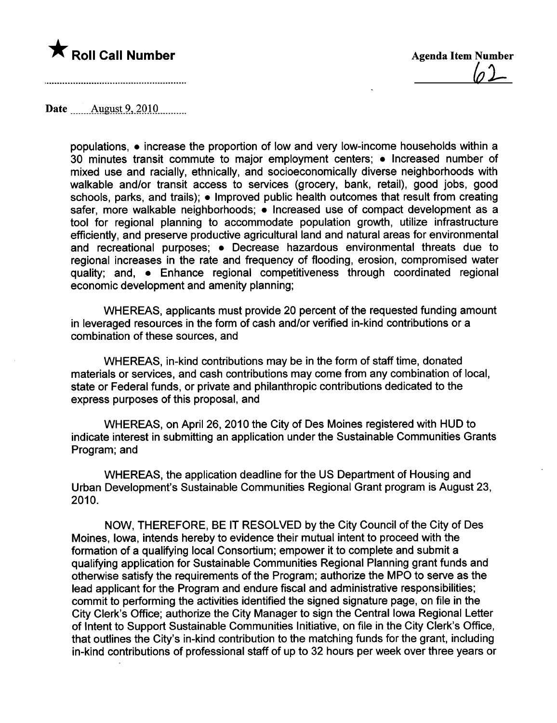

 $62-$ 

Date \_\_\_\_\_\_\_ August 9, 2010 \_\_\_\_\_\_\_

populations,  $\bullet$  increase the proportion of low and very low-income households within a 30 minutes transit commute to major employment centers;  $\bullet$  Increased number of mixed use and racially, ethnically, and socioeconomically diverse neighborhoods with walkable and/or transit access to services (grocery, bank, retail), good jobs, good schools, parks, and trails);  $\bullet$  Improved public health outcomes that result from creating safer, more walkable neighborhoods;  $\bullet$  Increased use of compact development as a tool for regional planning to accommodate population growth, utilize infrastructure efficiently, and preserve productive agricultural land and natural areas for environmental and recreational purposes; • Decrease hazardous environmental threats due to regional increases in the rate and frequency of flooding, erosion, compromised water quality; and,  $\bullet$  Enhance regional competitiveness through coordinated regional economic development and amenity planning;

WHEREAS, applicants must provide 20 percent of the requested funding amount in leveraged resources in the form of cash and/or verified in-kind contributions or a combination of these sources, and

WHEREAS, in-kind contributions may be in the form of staff time, donated materials or services, and cash contributions may come from any combination of local, state or Federal funds, or private and philanthropic contributions dedicated to the express purposes of this proposal, and

WHEREAS, on April 26, 2010 the City of Des Moines registered with HUD to indicate interest in submitting an application under the Sustainable Communities Grants Program; and

WHEREAS, the application deadline for the US Department of Housing and Urban Development's Sustainable Communities Regional Grant program is August 23, 2010.

NOW, THEREFORE, BE IT RESOLVED by the City Council of the City of Des Moines, Iowa, intends hereby to evidence their mutual intent to proceed with the formation of a qualifying local Consortium; empower it to complete and submit a qualifying application for Sustainable Communities Regional Planning grant funds and otherwise satisfy the requirements of the Program; authorize the MPO to serve as the lead applicant for the Program and endure fiscal and administrative responsibilities; commit to performing the activities identified the signed signature page, on file in the City Clerk's Office; authorize the City Manager to sign the Central Iowa Regional Letter of Intent to Support Sustainable Communities Initiative, on file in the City Clerk's Office, that outlines the City's in-kind contribution to the matching funds for the grant, including in-kind contributions of professional staff of up to 32 hours per week over three years or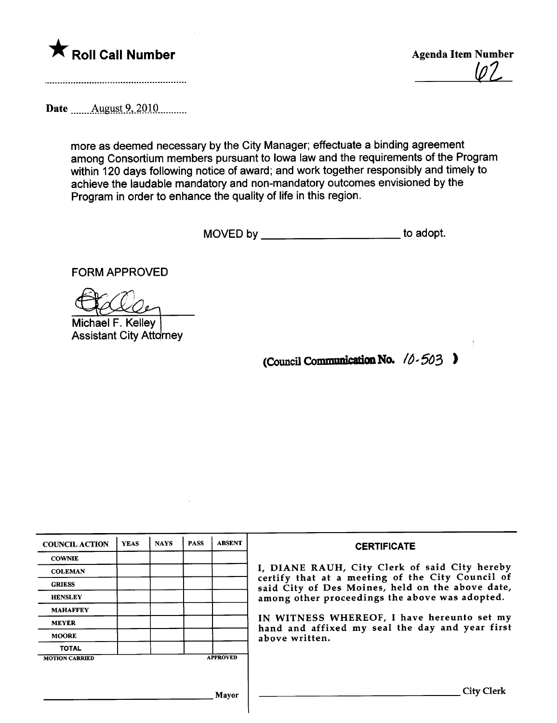

 $\ln 7$ 

Date \_\_\_\_\_\_\_\_ August 9, 2010 \_\_\_\_\_\_\_\_

more as deemed necessary by the City Manager; effectuate a binding agreement among Consortium members pursuant to Iowa law and the requirements of the Program within 120 days following notice of award; and work together responsibly and timely to achieve the laudable mandatory and non-mandatory outcomes envisioned by the Program in order to enhance the quality of life in this region.

MOVED by \_\_\_\_\_\_\_\_\_\_\_\_\_\_\_\_\_\_\_\_\_\_\_\_\_\_\_\_\_ to adopt.

FORM APPROVED

Michael F. Kelley **Assistant City Attorney** 

(Council Communication No.  $10 - 503$  )

| <b>COUNCIL ACTION</b> | <b>YEAS</b> | <b>NAYS</b> | <b>PASS</b> | <b>ABSENT</b>   | <b>CERTIFICATE</b>                                                                                                                                                                                                                                                                                                         |
|-----------------------|-------------|-------------|-------------|-----------------|----------------------------------------------------------------------------------------------------------------------------------------------------------------------------------------------------------------------------------------------------------------------------------------------------------------------------|
| <b>COWNIE</b>         |             |             |             |                 | I, DIANE RAUH, City Clerk of said City hereby<br>certify that at a meeting of the City Council of<br>said City of Des Moines, held on the above date,<br>among other proceedings the above was adopted.<br>IN WITNESS WHEREOF, I have hereunto set my<br>hand and affixed my seal the day and year first<br>above written. |
| <b>COLEMAN</b>        |             |             |             |                 |                                                                                                                                                                                                                                                                                                                            |
| <b>GRIESS</b>         |             |             |             |                 |                                                                                                                                                                                                                                                                                                                            |
| <b>HENSLEY</b>        |             |             |             |                 |                                                                                                                                                                                                                                                                                                                            |
| <b>MAHAFFEY</b>       |             |             |             |                 |                                                                                                                                                                                                                                                                                                                            |
| <b>MEYER</b>          |             |             |             |                 |                                                                                                                                                                                                                                                                                                                            |
| <b>MOORE</b>          |             |             |             |                 |                                                                                                                                                                                                                                                                                                                            |
| <b>TOTAL</b>          |             |             |             |                 |                                                                                                                                                                                                                                                                                                                            |
| <b>MOTION CARRIED</b> |             |             |             | <b>APPROVED</b> |                                                                                                                                                                                                                                                                                                                            |
|                       |             |             |             |                 |                                                                                                                                                                                                                                                                                                                            |
| Mavor                 |             |             |             |                 | City:                                                                                                                                                                                                                                                                                                                      |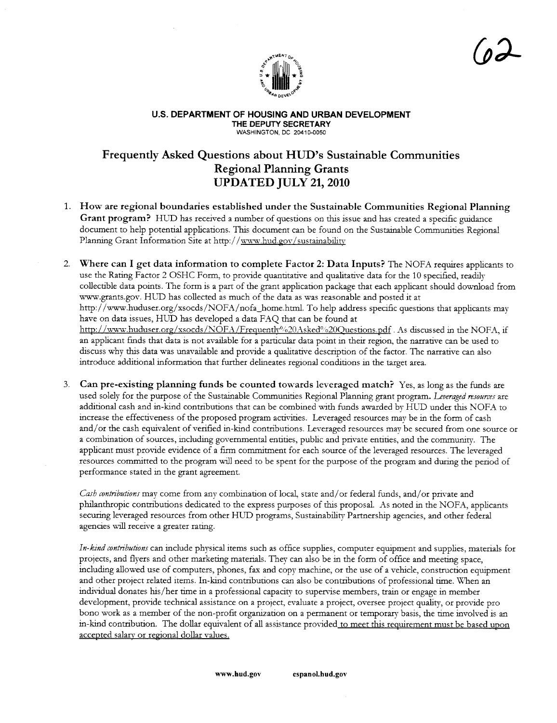

<u>(o2</u>

#### U.S. DEPARTMENT OF HOUSING AND URBAN DEVELOPMENT THE DEPUTY SECRETARY WASHINGTON, DC 20410-0050

# Frequently Asked Questions about HUD's Sustainable Communities Regional Planning Grants UPDATED JULY 21, 2010

- 1. How are regional boundaries established under the Sustainable Communities Regional Planning Grant program? HUD has received a number of questions on this issue and has created a specific guidance document to help potential applications. This document can be found on the Sustainable Communities Regional Planning Grant Information Site at http://www.hud.gov/sustainability
- 2. Where can I get data information to complete Factor 2: Data Inputs? The NOFA requires applicants to use the Rating Factor 2 OSHC Form, to provide quantitative and qualitative data for the 10 specified, readily collectible data points. The form is a part of the grant application package that each applicant should download from ww.grants.gov. HUD has collected as much of the data as was reasonable and posted it at http://www.huduser.org/xsocds/NOFA/nofa\_home.html. To help address specific questions that applicants may have on data issues, HUD has developed a data FAQ that can be found at http://www.huduser.org/xsocds/NOFA/Frequently%20Asked%20Questions.pdf. As discussed in the NOFA, if an applicant finds that data is not available for a particular data point in their region, the narrative can be used to discuss why this data was unavailable and provide a qualitative description of the factor. The narrative can also introduce additional information that further delineates regional conditions in the target area.
- 3. Can pre-existing planning funds be counted towards leveraged match? Yes, as long as the fuds are used solely for the purpose of the Sustainable Communities Regional Planning grant program. Leveraged resources are additional cash and in-kid contrbutions that can be combined with fuds awarded by HUD under ths NOFA to increase the effectiveness of the proposed program activities. Leveraged resources may be in the form of cash and/or the cash equivalent of verified in-kind contributions. Leveraged resources may be secured from one source or a combination of sources, includig governental entities, public and private entities, and the community. The applicant must provide evidence of a firm commitment for each source of the leveraged resources. The leveraged resources committed to the program will need to be spent for the purpose of the program and during the period of performance stated in the grant agreement.

Cash contributions may come from any combination of local, state and/ or federal funds, and/ or private and philanthropic contributions dedicated to the express purposes of this proposal. As noted in the NOFA, applicants securing leveraged resources from other HUD programs, Sustainability Partnership agencies, and other federal agencies will receive a greater rating.

In-kind contributions can include physical items such as office supplies, computer equipment and supplies, materials for projects, and flyers and other marketing materials. They can also be in the form of office and meeting space, including allowed use of computers, phones, fax and copy machine, or the use of a vehicle, construction equipment and other project related items. In-kind contributions can also be contributions of professional time. When an individual donates his/her time in a professional capacity to supervise members, train or engage in member development, provide technical assistance on a project, evaluate a project, oversee project qualty, or provide pro bono work as a member of the non-profit organization on a permanent or temporary basis, the time involved is an in-kind contribution. The dollar equivalent of all assistance provided to meet this requirement must be based upon accepted salary or regional dollar values.

www.hud.gov espanol.hud.gov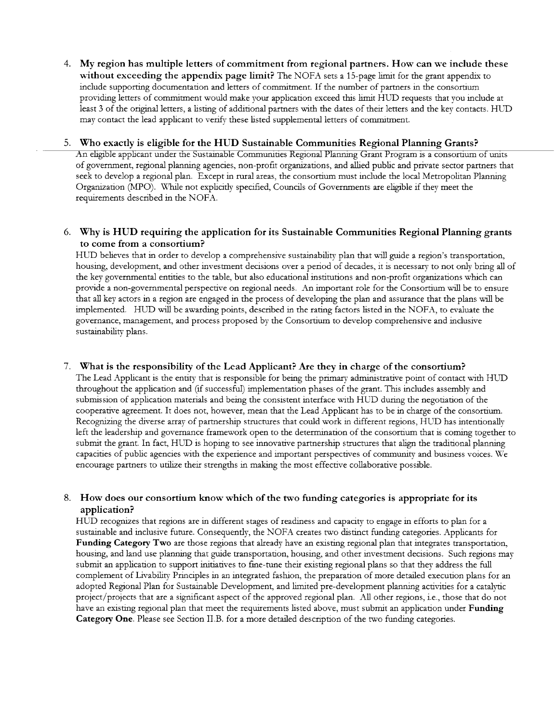4. My region has multiple letters of commitment from regional partners. How can we include these without exceeding the appendix page limit? The NOFA sets a 15-page limit for the grant appendix to include supporting documentation and letters of commitment. If the number of partners in the consortium providing letters of commitment would make your application exceed this limit HUD requests that you include at least 3 of the origial letters, a listig of additional partners with the dates of their letters and the key contacts. HUD may contact the lead applicant to verify these listed supplemental letters of commitment.

#### 5. Who exactly is eligible for the HUD Sustainable Communities Regional Planning Grants?

An eligible applicant under the Sustainable Communities Regional Planning Grant Program is a consortium of units of government, regional planning agencies, non-profit organizations, and allied public and private sector partners that seek to develop a regional plan. Except in rual areas, the consortum must include the local Metropolitan Plannig Organization (MPO). While not explicitly specified, Councils of Governments are eligible if they meet the requirements described in the NOFA.

### 6. Why is HUD requiring the application for its Sustainable Communities Regional Planning grants to come from a consortium?

HUD believes that in order to develop a comprehensive sustainability plan that will guide a region's transportation, housing, development, and other investment decisions over a period of decades, it is necessary to not only bring all of the key governental entities to the table, but also educational institutions and non-profit organiations which can provide a non-governmental perspective on regional needs. An important role for the Consortium will be to ensure that all key actors in a region are engaged in the process of developing the plan and assurance that the plans will be implemented. HUD will be awarding points, described in the rating factors listed in the NOFA, to evaluate the governance, management, and process proposed by the Consortum to develop comprehensive and inclusive sustainability plans.

#### 7. What is the responsibility of the Lead Applicant? Are they in charge of the consortium?

The Lead Applicant is the entity that is responsible for being the primary administrative point of contact with HUD thoughout the application and (if successfu) implementation phases of the grant. This includes assembly and submission of application materials and being the consistent interface with HUD during the negotiation of the cooperative ageement. It does not, however, mean that the Lead Applicant has to be in charge of the consortium. Recognizing the diverse array of partnership structures that could work in different regions, HUD has intentionally left the leadership and governance framework open to the determination of the consortium that is coming together to submit the grant. In fact, HUD is hoping to see innovative partnership structures that align the traditional planning capacities of public agencies with the experience and important perspectives of communty and business voices. We encourage partners to utilize their strengths in making the most effective collaborative possible.

#### 8. How does our consortium know which of the two funding categories is appropriate for its application?

HUD recognizes that regions are in different stages of readiness and capacity to engage in efforts to plan for a sustainable and inclusive future. Consequently, the NOFA creates two distinct funding categories. Applicants for Funding Category Two are those regions that already have an existing regional plan that integrates transportation, housing, and land use planning that guide transportation, housing, and other investment decisions. Such regions may submit an application to support initiatives to fine-tune their existing regional plans so that they address the full complement of Livabilty Priciples in an integrated fashion, the preparation of more detaied execution plans for an adopted Regional Plan for Sustainable Development, and limited pre-development planning activities for a catalytic project/projects that are a significant aspect of the approved regional plan. All other regions, i.e., those that do not have an existing regional plan that meet the requirements listed above, must submit an application under Funding Category One. Please see Section II.B. for a more detailed description of the two funding categories.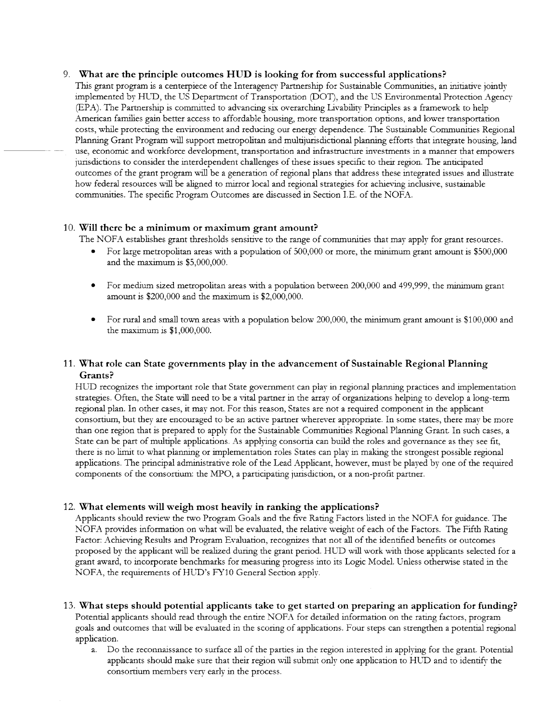#### 9. What are the principle outcomes HUD is looking for from successful applications?

Ths grant program is a centerpiece of the Interagency Partnership for Sustaiable Communties, an intiative jointly implemented by HUD, the US Department of Transportation (DOT), and the US Environmental Protection Agency (EPA). The Partership is commtted to advancig six overarchig Livabilty Priciples as a framework to help American families gain better access to affordable housing, more transportation options, and lower transportation costs, whie protectig the environment and reducing our energy dependence. The Sustaiable Communities Regional Planning Grant Program will support metropolitan and multijurisdictional planning efforts that integrate housing, land use, economic and workforce development, transportation and infrastructure investments in a manner that empowers jurisdictions to consider the interdependent challenges of these issues specific to their region. The anticipated outcomes of the grant program will be a generation of regional plans that address these integrated issues and illustrate how federal resources will be aligned to mirror local and regional strategies for achieving inclusive, sustainable communities. The specific Program Outcomes are discussed in Section I.E. of the NOFA.

#### 10. Will there be a minimum or maximum grant amount?

The NOFA establishes grant thesholds sensitive to the range of communities that may apply for grant resources.

- For large metropolitan areas with a population of 500,000 or more, the minimum grant amount is \$500,000 and the maximum is  $$5,000,000$ .
- . For medium sized metropolitan areas with a popultion between 200,000 and 499,999, the mium grant amount is  $$200,000$  and the maximum is  $$2,000,000$ .
- For rural and small town areas with a population below 200,000, the minimum grant amount is \$100,000 and the maximum is  $$1,000,000$ .

### 11. What role can State governments play in the advancement of Sustainable Regional Planning Grants?

HUD recognizes the important role that State government can play in regional planning practices and implementation strategies. Often, the State will need to be a vital partner in the array of organizations helping to develop a long-term regional plan. In other cases, it may not. For ths reason, States are not a requied component in the applicant consortum, but they are encouraged to be an active parer wherever appropriate. In some states, there may be more than one region that is prepared to apply for the Sustaiable Communities Regional Plannig Grant. In such cases, a State can be part of multiple applications. As applying consortia can build the roles and governance as they see fit, there is no limit to what planning or implementation roles States can play in making the strongest possible regional applications. The principal administrative role of the Lead Applicant, however, must be played by one of the required components of the consortium: the MPO, a participatig jurisdiction, or a non-profit parer.

### 12. What elements will weigh most heavily in ranking the applications?

Applicants should review the two Program Goals and the five Ratig Factors listed in the NOFA for gudance. The NOFA provides information on what will be evaluated, the relative weight of each of the Factors. The Fifth Rating Factor: Achieving Results and Program Evaluation, recognizes that not all of the identified benefits or outcomes proposed by the applicant will be realized during the grant period. HUD will work with those applicants selected for a grant award, to incorporate benchmarks for measurg progress into its Logic ModeL. Unless otherwse stated in the NOFA, the requirements of HUD's FY10 General Section apply.

- 13. What steps should potential applicants take to get started on preparing an application for funding? Potential applicants should read through the entire NOFA for detailed information on the rating factors, program goals and outcomes that will be evaluated in the scoring of applications. Four steps can strengthen a potential regional application.
	- a. Do the reconnaissance to surface al of the parties in the region interested in applying for the grant. Potential applicants should make sure that their region will submit only one application to HUD and to identify the consortium members very early in the process.